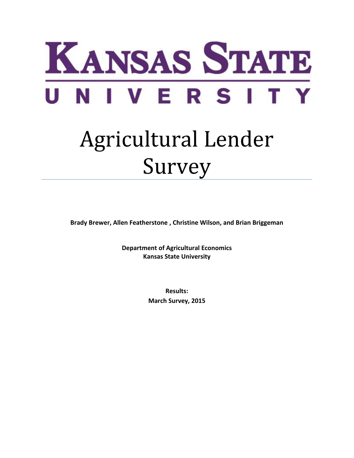

# Agricultural Lender Survey

**Brady Brewer, Allen Featherstone , Christine Wilson, and Brian Briggeman**

**Department of Agricultural Economics Kansas State University**

> **Results: March Survey, 2015**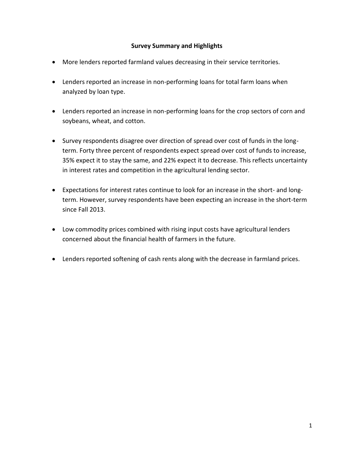## **Survey Summary and Highlights**

- More lenders reported farmland values decreasing in their service territories.
- Lenders reported an increase in non-performing loans for total farm loans when analyzed by loan type.
- Lenders reported an increase in non-performing loans for the crop sectors of corn and soybeans, wheat, and cotton.
- Survey respondents disagree over direction of spread over cost of funds in the longterm. Forty three percent of respondents expect spread over cost of funds to increase, 35% expect it to stay the same, and 22% expect it to decrease. This reflects uncertainty in interest rates and competition in the agricultural lending sector.
- Expectations for interest rates continue to look for an increase in the short- and longterm. However, survey respondents have been expecting an increase in the short-term since Fall 2013.
- Low commodity prices combined with rising input costs have agricultural lenders concerned about the financial health of farmers in the future.
- Lenders reported softening of cash rents along with the decrease in farmland prices.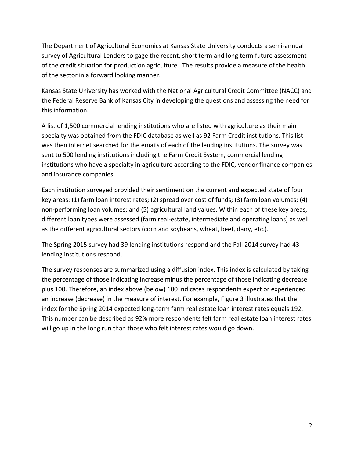The Department of Agricultural Economics at Kansas State University conducts a semi-annual survey of Agricultural Lenders to gage the recent, short term and long term future assessment of the credit situation for production agriculture. The results provide a measure of the health of the sector in a forward looking manner.

Kansas State University has worked with the National Agricultural Credit Committee (NACC) and the Federal Reserve Bank of Kansas City in developing the questions and assessing the need for this information.

A list of 1,500 commercial lending institutions who are listed with agriculture as their main specialty was obtained from the FDIC database as well as 92 Farm Credit institutions. This list was then internet searched for the emails of each of the lending institutions. The survey was sent to 500 lending institutions including the Farm Credit System, commercial lending institutions who have a specialty in agriculture according to the FDIC, vendor finance companies and insurance companies.

Each institution surveyed provided their sentiment on the current and expected state of four key areas: (1) farm loan interest rates; (2) spread over cost of funds; (3) farm loan volumes; (4) non-performing loan volumes; and (5) agricultural land values. Within each of these key areas, different loan types were assessed (farm real-estate, intermediate and operating loans) as well as the different agricultural sectors (corn and soybeans, wheat, beef, dairy, etc.).

The Spring 2015 survey had 39 lending institutions respond and the Fall 2014 survey had 43 lending institutions respond.

The survey responses are summarized using a diffusion index. This index is calculated by taking the percentage of those indicating increase minus the percentage of those indicating decrease plus 100. Therefore, an index above (below) 100 indicates respondents expect or experienced an increase (decrease) in the measure of interest. For example, Figure 3 illustrates that the index for the Spring 2014 expected long-term farm real estate loan interest rates equals 192. This number can be described as 92% more respondents felt farm real estate loan interest rates will go up in the long run than those who felt interest rates would go down.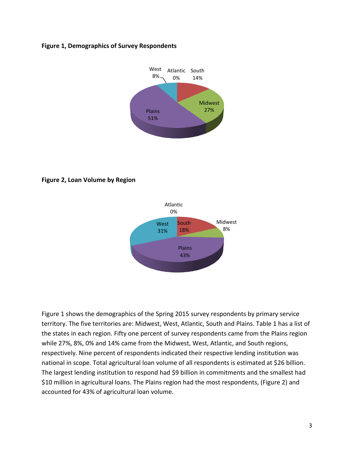#### **Figure 1, Demographics of Survey Respondents**



**Figure 2, Loan Volume by Region**



Figure 1 shows the demographics of the Spring 2015 survey respondents by primary service territory. The five territories are: Midwest, West, Atlantic, South and Plains. Table 1 has a list of the states in each region. Fifty one percent of survey respondents came from the Plains region while 27%, 8%, 0% and 14% came from the Midwest, West, Atlantic, and South regions, respectively. Nine percent of respondents indicated their respective lending institution was national in scope. Total agricultural loan volume of all respondents is estimated at \$26 billion. The largest lending institution to respond had \$9 billion in commitments and the smallest had \$10 million in agricultural loans. The Plains region had the most respondents, (Figure 2) and accounted for 43% of agricultural loan volume.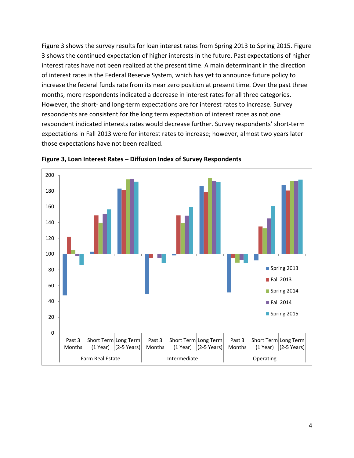[Figure 3](#page-4-0) shows the survey results for loan interest rates from Spring 2013 to Spring 2015. Figure 3 shows the continued expectation of higher interests in the future. Past expectations of higher interest rates have not been realized at the present time. A main determinant in the direction of interest rates is the Federal Reserve System, which has yet to announce future policy to increase the federal funds rate from its near zero position at present time. Over the past three months, more respondents indicated a decrease in interest rates for all three categories. However, the short- and long-term expectations are for interest rates to increase. Survey respondents are consistent for the long term expectation of interest rates as not one respondent indicated interests rates would decrease further. Survey respondents' short-term expectations in Fall 2013 were for interest rates to increase; however, almost two years later those expectations have not been realized.



<span id="page-4-0"></span>**Figure 3, Loan Interest Rates – Diffusion Index of Survey Respondents**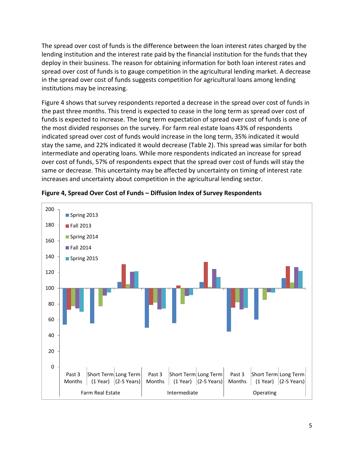The spread over cost of funds is the difference between the loan interest rates charged by the lending institution and the interest rate paid by the financial institution for the funds that they deploy in their business. The reason for obtaining information for both loan interest rates and spread over cost of funds is to gauge competition in the agricultural lending market. A decrease in the spread over cost of funds suggests competition for agricultural loans among lending institutions may be increasing.

Figure 4 shows that survey respondents reported a decrease in the spread over cost of funds in the past three months. This trend is expected to cease in the long term as spread over cost of funds is expected to increase. The long term expectation of spread over cost of funds is one of the most divided responses on the survey. For farm real estate loans 43% of respondents indicated spread over cost of funds would increase in the long term, 35% indicated it would stay the same, and 22% indicated it would decrease (Table 2). This spread was similar for both intermediate and operating loans. While more respondents indicated an increase for spread over cost of funds, 57% of respondents expect that the spread over cost of funds will stay the same or decrease. This uncertainty may be affected by uncertainty on timing of interest rate increases and uncertainty about competition in the agricultural lending sector.



## **Figure 4, Spread Over Cost of Funds – Diffusion Index of Survey Respondents**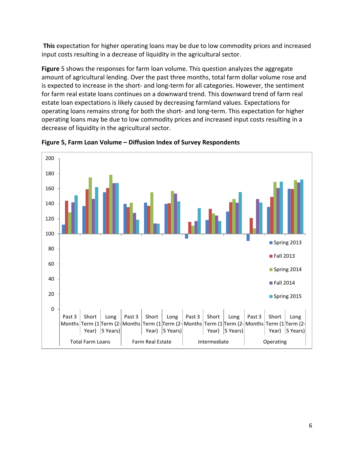**This** [expectation for higher operating loans may be due to low commodity prices and increased](#page-6-0)  [input costs resulting in a decrease of liquidity in the agricultural sector.](#page-6-0)

**[Figure](#page-6-0)** 5 shows the responses for farm loan volume. This question analyzes the aggregate amount of agricultural lending. Over the past three months, total farm dollar volume rose and is expected to increase in the short- and long-term for all categories. However, the sentiment for farm real estate loans continues on a downward trend. This downward trend of farm real estate loan expectations is likely caused by decreasing farmland values. Expectations for operating loans remains strong for both the short- and long-term. This expectation for higher operating loans may be due to low commodity prices and increased input costs resulting in a decrease of liquidity in the agricultural sector.



<span id="page-6-0"></span>**Figure 5, Farm Loan Volume – Diffusion Index of Survey Respondents**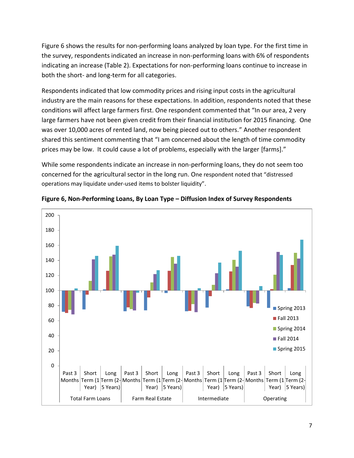Figure 6 shows the results for non-performing loans analyzed by loan type. For the first time in the survey, respondents indicated an increase in non-performing loans with 6% of respondents indicating an increase (Table 2). Expectations for non-performing loans continue to increase in both the short- and long-term for all categories.

Respondents indicated that low commodity prices and rising input costs in the agricultural industry are the main reasons for these expectations. In addition, respondents noted that these conditions will affect large farmers first. One respondent commented that "In our area, 2 very large farmers have not been given credit from their financial institution for 2015 financing. One was over 10,000 acres of rented land, now being pieced out to others." Another respondent shared this sentiment commenting that "I am concerned about the length of time commodity prices may be low. It could cause a lot of problems, especially with the larger [farms]."

While some respondents indicate an increase in non-performing loans, they do not seem too concerned for the agricultural sector in the long run. One respondent noted that "distressed operations may liquidate under-used items to bolster liquidity".



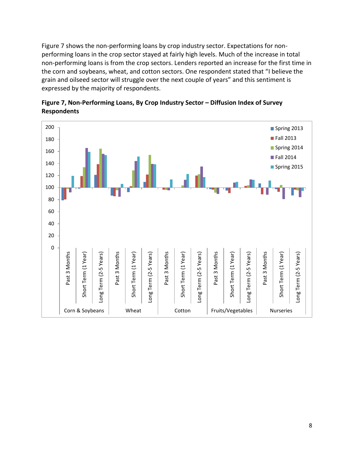Figure 7 shows the non-performing loans by crop industry sector. Expectations for nonperforming loans in the crop sector stayed at fairly high levels. Much of the increase in total non-performing loans is from the crop sectors. Lenders reported an increase for the first time in the corn and soybeans, wheat, and cotton sectors. One respondent stated that "I believe the grain and oilseed sector will struggle over the next couple of years" and this sentiment is expressed by the majority of respondents.



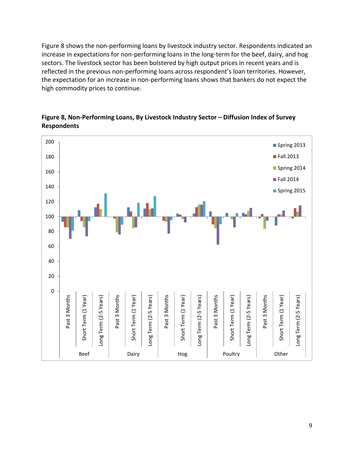Figure 8 shows the non-performing loans by livestock industry sector. Respondents indicated an increase in expectations for non-performing loans in the long-term for the beef, dairy, and hog sectors. The livestock sector has been bolstered by high output prices in recent years and is reflected in the previous non-performing loans across respondent's loan territories. However, the expectation for an increase in non-performing loans shows that bankers do not expect the high commodity prices to continue.



**Figure 8, Non-Performing Loans, By Livestock Industry Sector – Diffusion Index of Survey Respondents**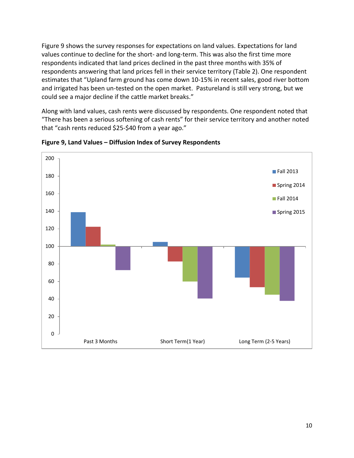Figure 9 shows the survey responses for expectations on land values. Expectations for land values continue to decline for the short- and long-term. This was also the first time more respondents indicated that land prices declined in the past three months with 35% of respondents answering that land prices fell in their service territory (Table 2). One respondent estimates that "Upland farm ground has come down 10-15% in recent sales, good river bottom and irrigated has been un-tested on the open market. Pastureland is still very strong, but we could see a major decline if the cattle market breaks."

Along with land values, cash rents were discussed by respondents. One respondent noted that "There has been a serious softening of cash rents" for their service territory and another noted that "cash rents reduced \$25-\$40 from a year ago."



**Figure 9, Land Values – Diffusion Index of Survey Respondents**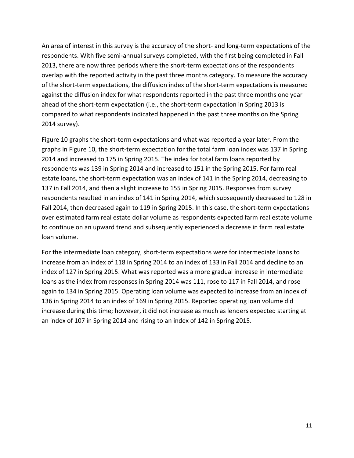An area of interest in this survey is the accuracy of the short- and long-term expectations of the respondents. With five semi-annual surveys completed, with the first being completed in Fall 2013, there are now three periods where the short-term expectations of the respondents overlap with the reported activity in the past three months category. To measure the accuracy of the short-term expectations, the diffusion index of the short-term expectations is measured against the diffusion index for what respondents reported in the past three months one year ahead of the short-term expectation (i.e., the short-term expectation in Spring 2013 is compared to what respondents indicated happened in the past three months on the Spring 2014 survey).

Figure 10 graphs the short-term expectations and what was reported a year later. From the graphs in Figure 10, the short-term expectation for the total farm loan index was 137 in Spring 2014 and increased to 175 in Spring 2015. The index for total farm loans reported by respondents was 139 in Spring 2014 and increased to 151 in the Spring 2015. For farm real estate loans, the short-term expectation was an index of 141 in the Spring 2014, decreasing to 137 in Fall 2014, and then a slight increase to 155 in Spring 2015. Responses from survey respondents resulted in an index of 141 in Spring 2014, which subsequently decreased to 128 in Fall 2014, then decreased again to 119 in Spring 2015. In this case, the short-term expectations over estimated farm real estate dollar volume as respondents expected farm real estate volume to continue on an upward trend and subsequently experienced a decrease in farm real estate loan volume.

For the intermediate loan category, short-term expectations were for intermediate loans to increase from an index of 118 in Spring 2014 to an index of 133 in Fall 2014 and decline to an index of 127 in Spring 2015. What was reported was a more gradual increase in intermediate loans as the index from responses in Spring 2014 was 111, rose to 117 in Fall 2014, and rose again to 134 in Spring 2015. Operating loan volume was expected to increase from an index of 136 in Spring 2014 to an index of 169 in Spring 2015. Reported operating loan volume did increase during this time; however, it did not increase as much as lenders expected starting at an index of 107 in Spring 2014 and rising to an index of 142 in Spring 2015.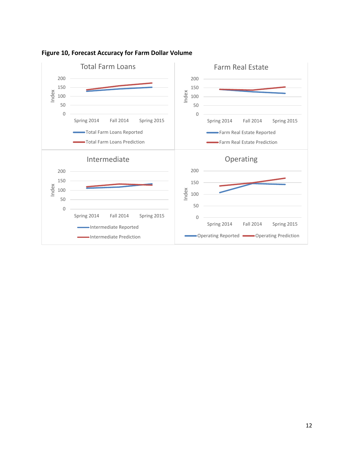

**Figure 10, Forecast Accuracy for Farm Dollar Volume**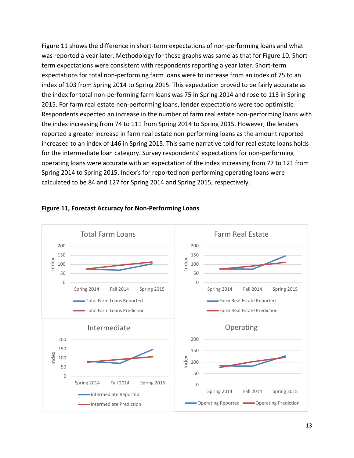Figure 11 shows the difference in short-term expectations of non-performing loans and what was reported a year later. Methodology for these graphs was same as that for Figure 10. Shortterm expectations were consistent with respondents reporting a year later. Short-term expectations for total non-performing farm loans were to increase from an index of 75 to an index of 103 from Spring 2014 to Spring 2015. This expectation proved to be fairly accurate as the index for total non-performing farm loans was 75 in Spring 2014 and rose to 113 in Spring 2015. For farm real estate non-performing loans, lender expectations were too optimistic. Respondents expected an increase in the number of farm real estate non-performing loans with the index increasing from 74 to 111 from Spring 2014 to Spring 2015. However, the lenders reported a greater increase in farm real estate non-performing loans as the amount reported increased to an index of 146 in Spring 2015. This same narrative told for real estate loans holds for the intermediate loan category. Survey respondents' expectations for non-performing operating loans were accurate with an expectation of the index increasing from 77 to 121 from Spring 2014 to Spring 2015. Index's for reported non-performing operating loans were calculated to be 84 and 127 for Spring 2014 and Spring 2015, respectively.



### **Figure 11, Forecast Accuracy for Non-Performing Loans**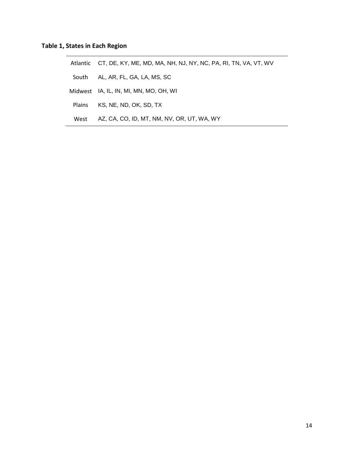## **Table 1, States in Each Region**

Atlantic CT, DE, KY, ME, MD, MA, NH, NJ, NY, NC, PA, RI, TN, VA, VT, WV South AL, AR, FL, GA, LA, MS, SC Midwest IA, IL, IN, MI, MN, MO, OH, WI Plains KS, NE, ND, OK, SD, TX West AZ, CA, CO, ID, MT, NM, NV, OR, UT, WA, WY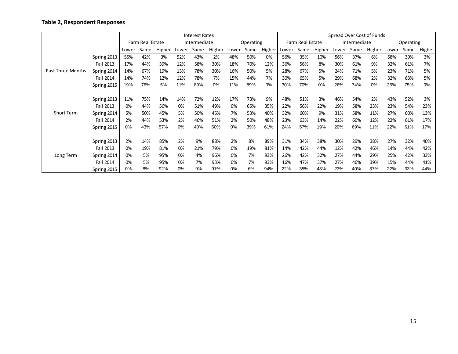## **Table 2, Respondent Responses**

|                   |             | <b>Interest Rates</b> |      |        |              |      |        |           |      |        | Spread Over Cost of Funds |      |        |              |      |        |           |      |        |
|-------------------|-------------|-----------------------|------|--------|--------------|------|--------|-----------|------|--------|---------------------------|------|--------|--------------|------|--------|-----------|------|--------|
|                   |             | Farm Real Estate      |      |        | Intermediate |      |        | Operating |      |        | Farm Real Estate          |      |        | Intermediate |      |        | Operating |      |        |
|                   |             | Lower                 | Same | Higher | Lower        | Same | Higher | Lower     | Same | Higher | Lower                     | Same | Higher | Lower        | Same | Higher | Lower     | Same | Higher |
|                   | Spring 2013 | 55%                   | 42%  | 3%     | 52%          | 43%  | 2%     | 48%       | 50%  | 0%     | 56%                       | 35%  | 10%    | 56%          | 37%  | 6%     | 58%       | 39%  | 3%     |
|                   | Fall 2013   | 17%                   | 44%  | 39%    | 12%          | 58%  | 30%    | 18%       | 70%  | 12%    | 36%                       | 56%  | 8%     | 30%          | 61%  | 9%     | 32%       | 61%  | 7%     |
| Past Three Months | Spring 2014 | 14%                   | 67%  | 19%    | 13%          | 78%  | 30%    | 16%       | 50%  | 5%     | 28%                       | 67%  | 5%     | 24%          | 71%  | 5%     | 23%       | 71%  | 5%     |
|                   | Fall 2014   | 14%                   | 74%  | 12%    | 12%          | 78%  | 7%     | 15%       | 44%  | 7%     | 30%                       | 65%  | 5%     | 29%          | 68%  | 2%     | 32%       | 63%  | 5%     |
|                   | Spring 2015 | 19%                   | 76%  | 5%     | 11%          | 89%  | 0%     | 11%       | 89%  | 0%     | 30%                       | 70%  | 0%     | 26%          | 74%  | 0%     | 25%       | 75%  | 0%     |
|                   |             |                       |      |        |              |      |        |           |      |        |                           |      |        |              |      |        |           |      |        |
|                   | Spring 2013 | 11%                   | 75%  | 14%    | 14%          | 72%  | 12%    | 17%       | 73%  | 9%     | 48%                       | 51%  | 3%     | 46%          | 54%  | 2%     | 43%       | 52%  | 3%     |
|                   | Fall 2013   | 0%                    | 44%  | 56%    | 0%           | 51%  | 49%    | 0%        | 65%  | 35%    | 22%                       | 56%  | 22%    | 19%          | 58%  | 23%    | 23%       | 54%  | 23%    |
| <b>Short Term</b> | Spring 2014 | 5%                    | 50%  | 45%    | 5%           | 50%  | 45%    | 7%        | 53%  | 40%    | 32%                       | 60%  | 9%     | 31%          | 58%  | 11%    | 27%       | 60%  | 13%    |
|                   | Fall 2014   | 2%                    | 44%  | 53%    | 2%           | 46%  | 51%    | 2%        | 50%  | 48%    | 23%                       | 63%  | 14%    | 22%          | 66%  | 12%    | 22%       | 61%  | 17%    |
|                   | Spring 2015 | 0%                    | 43%  | 57%    | 0%           | 40%  | 60%    | 0%        | 39%  | 61%    | 24%                       | 57%  | 19%    | 20%          | 69%  | 11%    | 22%       | 61%  | 17%    |
|                   |             |                       |      |        |              |      |        |           |      |        |                           |      |        |              |      |        |           |      |        |
| Long Term         | Spring 2013 | 2%                    | 14%  | 85%    | 2%           | 9%   | 88%    | 2%        | 8%   | 89%    | 31%                       | 34%  | 38%    | 30%          | 29%  | 38%    | 27%       | 32%  | 40%    |
|                   | Fall 2013   | 0%                    | 19%  | 81%    | 0%           | 21%  | 79%    | 0%        | 19%  | 81%    | 14%                       | 42%  | 44%    | 12%          | 42%  | 46%    | 14%       | 44%  | 42%    |
|                   | Spring 2014 | 0%                    | 5%   | 95%    | 0%           | 4%   | 96%    | 0%        | 7%   | 93%    | 26%                       | 42%  | 32%    | 27%          | 44%  | 29%    | 25%       | 42%  | 33%    |
|                   | Fall 2014   | 0%                    | 5%   | 95%    | 0%           | 7%   | 93%    | 0%        | 7%   | 93%    | 16%                       | 47%  | 37%    | 27%          | 46%  | 39%    | 15%       | 44%  | 41%    |
|                   | Spring 2015 | 0%                    | 8%   | 92%    | 0%           | 9%   | 91%    | $0\%$     | 6%   | 94%    | 22%                       | 35%  | 43%    | 23%          | 40%  | 37%    | 22%       | 33%  | 44%    |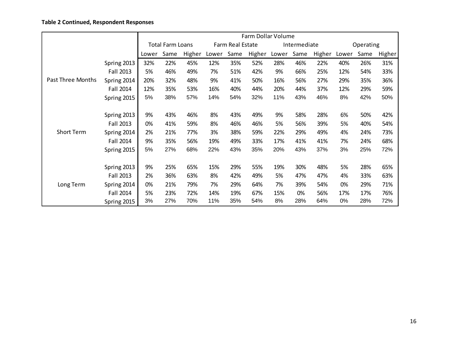## **Table 2 Continued, Respondent Responses**

|                   | Farm Dollar Volume      |       |      |        |                  |      |        |              |      |           |       |      |        |
|-------------------|-------------------------|-------|------|--------|------------------|------|--------|--------------|------|-----------|-------|------|--------|
|                   | <b>Total Farm Loans</b> |       |      |        | Farm Real Estate |      |        | Intermediate |      | Operating |       |      |        |
|                   |                         | Lower | Same | Higher | Lower            | Same | Higher | Lower        | Same | Higher    | Lower | Same | Higher |
|                   | Spring 2013             | 32%   | 22%  | 45%    | 12%              | 35%  | 52%    | 28%          | 46%  | 22%       | 40%   | 26%  | 31%    |
|                   | <b>Fall 2013</b>        | 5%    | 46%  | 49%    | 7%               | 51%  | 42%    | 9%           | 66%  | 25%       | 12%   | 54%  | 33%    |
| Past Three Months | Spring 2014             | 20%   | 32%  | 48%    | 9%               | 41%  | 50%    | 16%          | 56%  | 27%       | 29%   | 35%  | 36%    |
|                   | Fall 2014               | 12%   | 35%  | 53%    | 16%              | 40%  | 44%    | 20%          | 44%  | 37%       | 12%   | 29%  | 59%    |
|                   | Spring 2015             | 5%    | 38%  | 57%    | 14%              | 54%  | 32%    | 11%          | 43%  | 46%       | 8%    | 42%  | 50%    |
|                   |                         |       |      |        |                  |      |        |              |      |           |       |      |        |
|                   | Spring 2013             | 9%    | 43%  | 46%    | 8%               | 43%  | 49%    | 9%           | 58%  | 28%       | 6%    | 50%  | 42%    |
|                   | <b>Fall 2013</b>        | 0%    | 41%  | 59%    | 8%               | 46%  | 46%    | 5%           | 56%  | 39%       | 5%    | 40%  | 54%    |
| <b>Short Term</b> | Spring 2014             | 2%    | 21%  | 77%    | 3%               | 38%  | 59%    | 22%          | 29%  | 49%       | 4%    | 24%  | 73%    |
|                   | <b>Fall 2014</b>        | 9%    | 35%  | 56%    | 19%              | 49%  | 33%    | 17%          | 41%  | 41%       | 7%    | 24%  | 68%    |
|                   | Spring 2015             | 5%    | 27%  | 68%    | 22%              | 43%  | 35%    | 20%          | 43%  | 37%       | 3%    | 25%  | 72%    |
|                   |                         |       |      |        |                  |      |        |              |      |           |       |      |        |
|                   | Spring 2013             | 9%    | 25%  | 65%    | 15%              | 29%  | 55%    | 19%          | 30%  | 48%       | 5%    | 28%  | 65%    |
|                   | <b>Fall 2013</b>        | 2%    | 36%  | 63%    | 8%               | 42%  | 49%    | 5%           | 47%  | 47%       | 4%    | 33%  | 63%    |
| Long Term         | Spring 2014             | 0%    | 21%  | 79%    | 7%               | 29%  | 64%    | 7%           | 39%  | 54%       | 0%    | 29%  | 71%    |
|                   | <b>Fall 2014</b>        | 5%    | 23%  | 72%    | 14%              | 19%  | 67%    | 15%          | 0%   | 56%       | 17%   | 17%  | 76%    |
|                   | Spring 2015             | 3%    | 27%  | 70%    | 11%              | 35%  | 54%    | 8%           | 28%  | 64%       | 0%    | 28%  | 72%    |